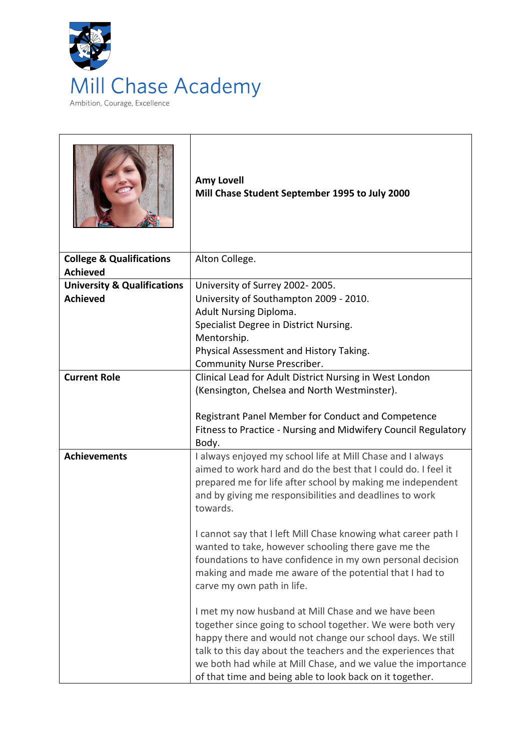

|                                                           | <b>Amy Lovell</b><br>Mill Chase Student September 1995 to July 2000                                                                                                                                                                                                                                                                                                         |
|-----------------------------------------------------------|-----------------------------------------------------------------------------------------------------------------------------------------------------------------------------------------------------------------------------------------------------------------------------------------------------------------------------------------------------------------------------|
| <b>College &amp; Qualifications</b><br><b>Achieved</b>    | Alton College.                                                                                                                                                                                                                                                                                                                                                              |
| <b>University &amp; Qualifications</b><br><b>Achieved</b> | University of Surrey 2002-2005.<br>University of Southampton 2009 - 2010.                                                                                                                                                                                                                                                                                                   |
|                                                           | Adult Nursing Diploma.                                                                                                                                                                                                                                                                                                                                                      |
|                                                           | Specialist Degree in District Nursing.                                                                                                                                                                                                                                                                                                                                      |
|                                                           | Mentorship.                                                                                                                                                                                                                                                                                                                                                                 |
|                                                           | Physical Assessment and History Taking.<br>Community Nurse Prescriber.                                                                                                                                                                                                                                                                                                      |
| <b>Current Role</b>                                       | Clinical Lead for Adult District Nursing in West London                                                                                                                                                                                                                                                                                                                     |
|                                                           | (Kensington, Chelsea and North Westminster).                                                                                                                                                                                                                                                                                                                                |
|                                                           | Registrant Panel Member for Conduct and Competence<br>Fitness to Practice - Nursing and Midwifery Council Regulatory<br>Body.                                                                                                                                                                                                                                               |
| <b>Achievements</b>                                       | I always enjoyed my school life at Mill Chase and I always<br>aimed to work hard and do the best that I could do. I feel it<br>prepared me for life after school by making me independent<br>and by giving me responsibilities and deadlines to work<br>towards.                                                                                                            |
|                                                           | I cannot say that I left Mill Chase knowing what career path I<br>wanted to take, however schooling there gave me the<br>foundations to have confidence in my own personal decision<br>making and made me aware of the potential that I had to<br>carve my own path in life.                                                                                                |
|                                                           | I met my now husband at Mill Chase and we have been<br>together since going to school together. We were both very<br>happy there and would not change our school days. We still<br>talk to this day about the teachers and the experiences that<br>we both had while at Mill Chase, and we value the importance<br>of that time and being able to look back on it together. |